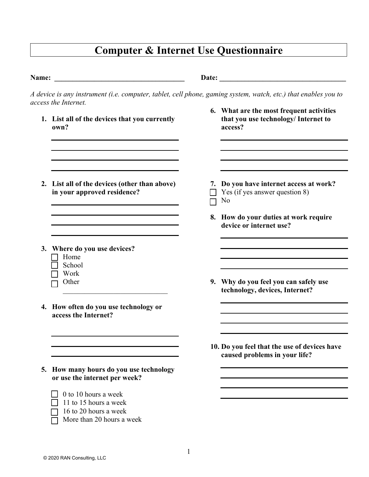## **Computer & Internet Use Questionnaire**

| <b>Name:</b> | <u> 1980 - Jan Samuel Barbara, martin di sebagai personal di sebagai personal di sebagai personal di sebagai per</u>                                                            |                                                                                                                |
|--------------|---------------------------------------------------------------------------------------------------------------------------------------------------------------------------------|----------------------------------------------------------------------------------------------------------------|
|              | access the Internet.                                                                                                                                                            | A device is any instrument (i.e. computer, tablet, cell phone, gaming system, watch, etc.) that enables you to |
|              | 1. List all of the devices that you currently<br>own?                                                                                                                           | 6. What are the most frequent activities<br>that you use technology/ Internet to<br>access?                    |
|              | 2. List all of the devices (other than above)<br>in your approved residence?                                                                                                    | 7. Do you have internet access at work?<br>Yes (if yes answer question 8)<br>No                                |
|              |                                                                                                                                                                                 | 8. How do your duties at work require<br>device or internet use?                                               |
|              | 3. Where do you use devices?<br>Home<br>School<br>Work<br>Other                                                                                                                 | 9. Why do you feel you can safely use<br>technology, devices, Internet?                                        |
|              | 4. How often do you use technology or<br>access the Internet?                                                                                                                   |                                                                                                                |
|              |                                                                                                                                                                                 | 10. Do you feel that the use of devices have<br>caused problems in your life?                                  |
|              | 5. How many hours do you use technology<br>or use the internet per week?<br>0 to 10 hours a week<br>11 to 15 hours a week<br>16 to 20 hours a week<br>More than 20 hours a week |                                                                                                                |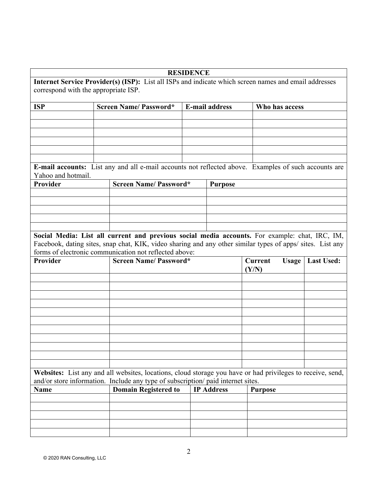## **RESIDENCE**

**Internet Service Provider(s) (ISP):** List all ISPs and indicate which screen names and email addresses correspond with the appropriate ISP.

| <b>ISP</b> | <b>Screen Name/Password*</b> | <b>E-mail address</b> | Who has access |  |
|------------|------------------------------|-----------------------|----------------|--|
|            |                              |                       |                |  |
|            |                              |                       |                |  |
|            |                              |                       |                |  |
|            |                              |                       |                |  |
|            |                              |                       |                |  |
|            |                              |                       |                |  |

**E-mail accounts:** List any and all e-mail accounts not reflected above. Examples of such accounts are Yahoo and hotmail.

| Provider | <b>Screen Name/Password*</b> | <b>Purpose</b> |
|----------|------------------------------|----------------|
|          |                              |                |
|          |                              |                |
|          |                              |                |
|          |                              |                |
|          |                              |                |

**Social Media: List all current and previous social media accounts.** For example: chat, IRC, IM, Facebook, dating sites, snap chat, KIK, video sharing and any other similar types of apps/ sites. List any forms of electronic communication not reflected above:

| Provider | Screen Name/ Password* | Current<br>(Y/N) | <b>Usage   Last Used:</b> |
|----------|------------------------|------------------|---------------------------|
|          |                        |                  |                           |
|          |                        |                  |                           |
|          |                        |                  |                           |
|          |                        |                  |                           |
|          |                        |                  |                           |
|          |                        |                  |                           |
|          |                        |                  |                           |
|          |                        |                  |                           |
|          |                        |                  |                           |
|          |                        |                  |                           |
|          |                        |                  |                           |

**Websites:** List any and all websites, locations, cloud storage you have or had privileges to receive, send, and/or store information. Include any type of subscription/ paid internet sites.

| Name | <b>Domain Registered to</b>   IP Address | <b>Purpose</b> |
|------|------------------------------------------|----------------|
|      |                                          |                |
|      |                                          |                |
|      |                                          |                |
|      |                                          |                |
|      |                                          |                |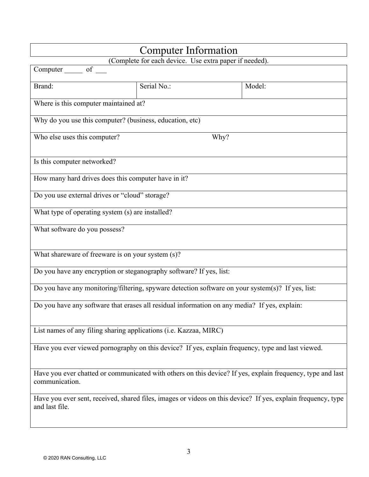| Computer Information                                                                              |                                                                                                              |                                                                                                            |  |  |
|---------------------------------------------------------------------------------------------------|--------------------------------------------------------------------------------------------------------------|------------------------------------------------------------------------------------------------------------|--|--|
| (Complete for each device. Use extra paper if needed).                                            |                                                                                                              |                                                                                                            |  |  |
| Computer of                                                                                       |                                                                                                              |                                                                                                            |  |  |
| Brand:                                                                                            | Serial No.:                                                                                                  | Model:                                                                                                     |  |  |
| Where is this computer maintained at?                                                             |                                                                                                              |                                                                                                            |  |  |
| Why do you use this computer? (business, education, etc)                                          |                                                                                                              |                                                                                                            |  |  |
| Who else uses this computer?                                                                      | Why?                                                                                                         |                                                                                                            |  |  |
| Is this computer networked?                                                                       |                                                                                                              |                                                                                                            |  |  |
| How many hard drives does this computer have in it?                                               |                                                                                                              |                                                                                                            |  |  |
| Do you use external drives or "cloud" storage?                                                    |                                                                                                              |                                                                                                            |  |  |
| What type of operating system (s) are installed?                                                  |                                                                                                              |                                                                                                            |  |  |
| What software do you possess?                                                                     |                                                                                                              |                                                                                                            |  |  |
| What shareware of freeware is on your system (s)?                                                 |                                                                                                              |                                                                                                            |  |  |
| Do you have any encryption or steganography software? If yes, list:                               |                                                                                                              |                                                                                                            |  |  |
| Do you have any monitoring/filtering, spyware detection software on your system(s)? If yes, list: |                                                                                                              |                                                                                                            |  |  |
| Do you have any software that erases all residual information on any media? If yes, explain:      |                                                                                                              |                                                                                                            |  |  |
| List names of any filing sharing applications (i.e. Kazzaa, MIRC)                                 |                                                                                                              |                                                                                                            |  |  |
| Have you ever viewed pornography on this device? If yes, explain frequency, type and last viewed. |                                                                                                              |                                                                                                            |  |  |
| communication.                                                                                    |                                                                                                              | Have you ever chatted or communicated with others on this device? If yes, explain frequency, type and last |  |  |
| and last file.                                                                                    | Have you ever sent, received, shared files, images or videos on this device? If yes, explain frequency, type |                                                                                                            |  |  |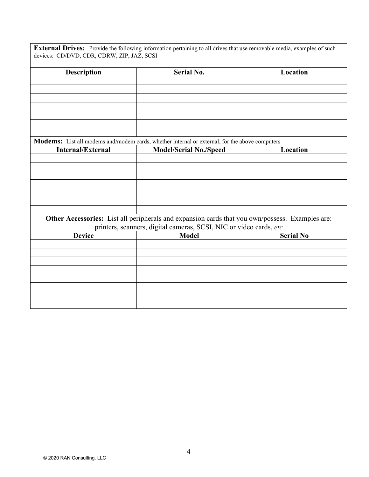| <b>Description</b>                                                 | <b>Serial No.</b>                                                                                     | Location         |  |
|--------------------------------------------------------------------|-------------------------------------------------------------------------------------------------------|------------------|--|
|                                                                    |                                                                                                       |                  |  |
|                                                                    |                                                                                                       |                  |  |
|                                                                    |                                                                                                       |                  |  |
|                                                                    |                                                                                                       |                  |  |
|                                                                    |                                                                                                       |                  |  |
|                                                                    |                                                                                                       |                  |  |
|                                                                    | <b>Modems:</b> List all modems and/modem cards, whether internal or external, for the above computers |                  |  |
| <b>Internal/External</b>                                           | Model/Serial No./Speed                                                                                | Location         |  |
|                                                                    |                                                                                                       |                  |  |
|                                                                    |                                                                                                       |                  |  |
|                                                                    |                                                                                                       |                  |  |
|                                                                    |                                                                                                       |                  |  |
|                                                                    |                                                                                                       |                  |  |
|                                                                    |                                                                                                       |                  |  |
|                                                                    | Other Accessories: List all peripherals and expansion cards that you own/possess. Examples are:       |                  |  |
| printers, scanners, digital cameras, SCSI, NIC or video cards, etc |                                                                                                       |                  |  |
| <b>Device</b>                                                      | <b>Model</b>                                                                                          | <b>Serial No</b> |  |
|                                                                    |                                                                                                       |                  |  |
|                                                                    |                                                                                                       |                  |  |
|                                                                    |                                                                                                       |                  |  |
|                                                                    |                                                                                                       |                  |  |
|                                                                    |                                                                                                       |                  |  |
|                                                                    |                                                                                                       |                  |  |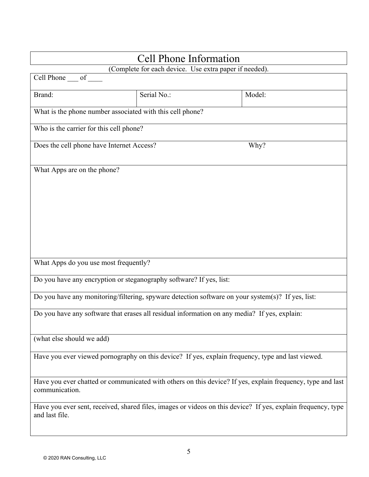| <b>Cell Phone Information</b>                                                                     |             |  |                                                                                                              |  |
|---------------------------------------------------------------------------------------------------|-------------|--|--------------------------------------------------------------------------------------------------------------|--|
| (Complete for each device. Use extra paper if needed).                                            |             |  |                                                                                                              |  |
| Cell Phone ___ of                                                                                 |             |  |                                                                                                              |  |
| Brand:                                                                                            | Serial No.: |  | Model:                                                                                                       |  |
| What is the phone number associated with this cell phone?                                         |             |  |                                                                                                              |  |
| Who is the carrier for this cell phone?                                                           |             |  |                                                                                                              |  |
| Does the cell phone have Internet Access?                                                         |             |  | Why?                                                                                                         |  |
| What Apps are on the phone?                                                                       |             |  |                                                                                                              |  |
| What Apps do you use most frequently?                                                             |             |  |                                                                                                              |  |
| Do you have any encryption or steganography software? If yes, list:                               |             |  |                                                                                                              |  |
| Do you have any monitoring/filtering, spyware detection software on your system(s)? If yes, list: |             |  |                                                                                                              |  |
| Do you have any software that erases all residual information on any media? If yes, explain:      |             |  |                                                                                                              |  |
| (what else should we add)                                                                         |             |  |                                                                                                              |  |
| Have you ever viewed pornography on this device? If yes, explain frequency, type and last viewed. |             |  |                                                                                                              |  |
| communication.                                                                                    |             |  | Have you ever chatted or communicated with others on this device? If yes, explain frequency, type and last   |  |
| and last file.                                                                                    |             |  | Have you ever sent, received, shared files, images or videos on this device? If yes, explain frequency, type |  |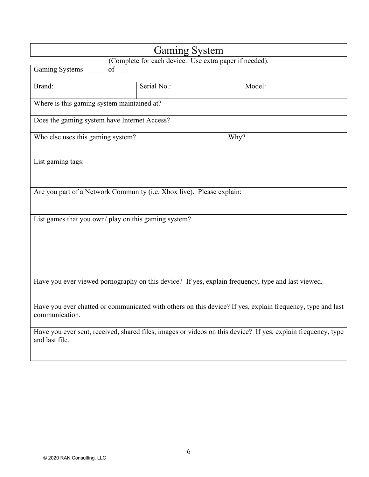| <b>Gaming System</b>                                                                                                           |             |        |  |  |
|--------------------------------------------------------------------------------------------------------------------------------|-------------|--------|--|--|
| (Complete for each device. Use extra paper if needed).                                                                         |             |        |  |  |
| Gaming Systems of                                                                                                              |             |        |  |  |
| Brand:                                                                                                                         | Serial No.: | Model: |  |  |
| Where is this gaming system maintained at?                                                                                     |             |        |  |  |
| Does the gaming system have Internet Access?                                                                                   |             |        |  |  |
| Who else uses this gaming system?                                                                                              | Why?        |        |  |  |
| List gaming tags:                                                                                                              |             |        |  |  |
| Are you part of a Network Community (i.e. Xbox live). Please explain:                                                          |             |        |  |  |
| List games that you own/ play on this gaming system?                                                                           |             |        |  |  |
| Have you ever viewed pornography on this device? If yes, explain frequency, type and last viewed.                              |             |        |  |  |
| Have you ever chatted or communicated with others on this device? If yes, explain frequency, type and last<br>communication.   |             |        |  |  |
| Have you ever sent, received, shared files, images or videos on this device? If yes, explain frequency, type<br>and last file. |             |        |  |  |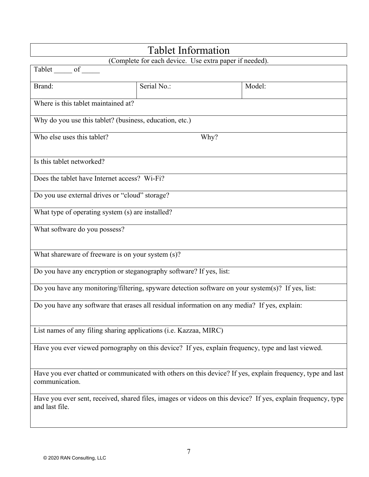| <b>Tablet Information</b>                                                                         |                                                                                                              |                                                                                                            |  |  |
|---------------------------------------------------------------------------------------------------|--------------------------------------------------------------------------------------------------------------|------------------------------------------------------------------------------------------------------------|--|--|
| (Complete for each device. Use extra paper if needed).                                            |                                                                                                              |                                                                                                            |  |  |
| Tablet of                                                                                         |                                                                                                              |                                                                                                            |  |  |
| Brand:                                                                                            | Serial No.:                                                                                                  | Model:                                                                                                     |  |  |
| Where is this tablet maintained at?                                                               |                                                                                                              |                                                                                                            |  |  |
| Why do you use this tablet? (business, education, etc.)                                           |                                                                                                              |                                                                                                            |  |  |
| Who else uses this tablet?                                                                        | Why?                                                                                                         |                                                                                                            |  |  |
| Is this tablet networked?                                                                         |                                                                                                              |                                                                                                            |  |  |
| Does the tablet have Internet access? Wi-Fi?                                                      |                                                                                                              |                                                                                                            |  |  |
| Do you use external drives or "cloud" storage?                                                    |                                                                                                              |                                                                                                            |  |  |
| What type of operating system (s) are installed?                                                  |                                                                                                              |                                                                                                            |  |  |
| What software do you possess?                                                                     |                                                                                                              |                                                                                                            |  |  |
| What shareware of freeware is on your system (s)?                                                 |                                                                                                              |                                                                                                            |  |  |
| Do you have any encryption or steganography software? If yes, list:                               |                                                                                                              |                                                                                                            |  |  |
| Do you have any monitoring/filtering, spyware detection software on your system(s)? If yes, list: |                                                                                                              |                                                                                                            |  |  |
| Do you have any software that erases all residual information on any media? If yes, explain:      |                                                                                                              |                                                                                                            |  |  |
| List names of any filing sharing applications (i.e. Kazzaa, MIRC)                                 |                                                                                                              |                                                                                                            |  |  |
| Have you ever viewed pornography on this device? If yes, explain frequency, type and last viewed. |                                                                                                              |                                                                                                            |  |  |
| communication.                                                                                    |                                                                                                              | Have you ever chatted or communicated with others on this device? If yes, explain frequency, type and last |  |  |
| and last file.                                                                                    | Have you ever sent, received, shared files, images or videos on this device? If yes, explain frequency, type |                                                                                                            |  |  |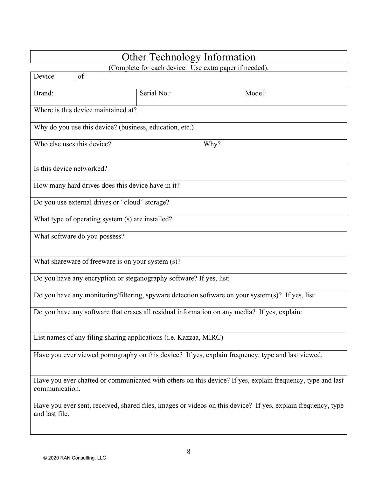| <b>Other Technology Information</b>                                                                                            |                                                                                                            |        |  |  |
|--------------------------------------------------------------------------------------------------------------------------------|------------------------------------------------------------------------------------------------------------|--------|--|--|
| (Complete for each device. Use extra paper if needed).                                                                         |                                                                                                            |        |  |  |
| Device _______ of ___                                                                                                          |                                                                                                            |        |  |  |
| Brand:                                                                                                                         | Serial No.:                                                                                                | Model: |  |  |
| Where is this device maintained at?                                                                                            |                                                                                                            |        |  |  |
| Why do you use this device? (business, education, etc.)                                                                        |                                                                                                            |        |  |  |
| Who else uses this device?                                                                                                     | Why?                                                                                                       |        |  |  |
| Is this device networked?                                                                                                      |                                                                                                            |        |  |  |
| How many hard drives does this device have in it?                                                                              |                                                                                                            |        |  |  |
| Do you use external drives or "cloud" storage?                                                                                 |                                                                                                            |        |  |  |
| What type of operating system (s) are installed?                                                                               |                                                                                                            |        |  |  |
| What software do you possess?                                                                                                  |                                                                                                            |        |  |  |
| What shareware of freeware is on your system (s)?                                                                              |                                                                                                            |        |  |  |
| Do you have any encryption or steganography software? If yes, list:                                                            |                                                                                                            |        |  |  |
| Do you have any monitoring/filtering, spyware detection software on your system(s)? If yes, list:                              |                                                                                                            |        |  |  |
| Do you have any software that erases all residual information on any media? If yes, explain:                                   |                                                                                                            |        |  |  |
| List names of any filing sharing applications (i.e. Kazzaa, MIRC)                                                              |                                                                                                            |        |  |  |
| Have you ever viewed pornography on this device? If yes, explain frequency, type and last viewed.                              |                                                                                                            |        |  |  |
| communication.                                                                                                                 | Have you ever chatted or communicated with others on this device? If yes, explain frequency, type and last |        |  |  |
| Have you ever sent, received, shared files, images or videos on this device? If yes, explain frequency, type<br>and last file. |                                                                                                            |        |  |  |